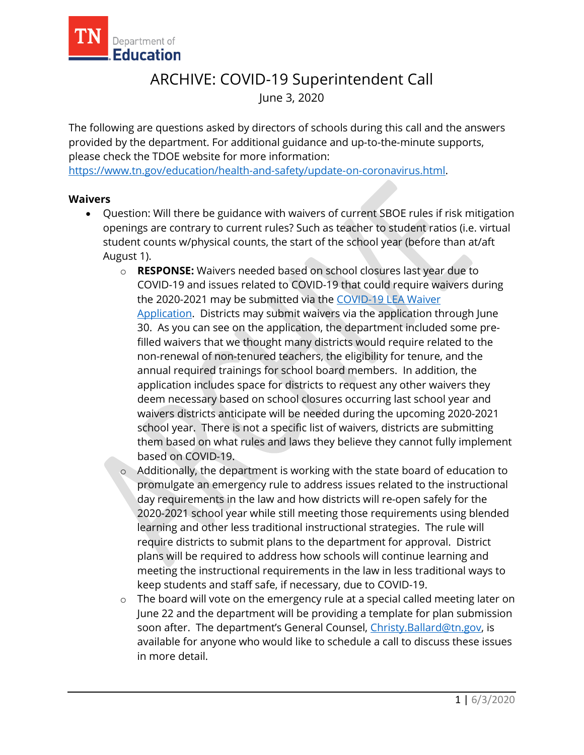

## ARCHIVE: COVID-19 Superintendent Call June 3, 2020

The following are questions asked by directors of schools during this call and the answers provided by the department. For additional guidance and up-to-the-minute supports, please check the TDOE website for more information:

[https://www.tn.gov/education/health-and-safety/update-on-coronavirus.html.](https://www.tn.gov/education/health-and-safety/update-on-coronavirus.html)

## **Waivers**

- Question: Will there be guidance with waivers of current SBOE rules if risk mitigation openings are contrary to current rules? Such as teacher to student ratios (i.e. virtual student counts w/physical counts, the start of the school year (before than at/aft August 1).
	- o **RESPONSE:** Waivers needed based on school closures last year due to COVID-19 and issues related to COVID-19 that could require waivers during the 2020-2021 may be submitted via the [COVID-19 LEA Waiver](https://www.tn.gov/content/dam/tn/education/health-&-safety/COVID-19%20LEA%20Waiver%20Application.pdf)  [Application.](https://www.tn.gov/content/dam/tn/education/health-&-safety/COVID-19%20LEA%20Waiver%20Application.pdf) Districts may submit waivers via the application through June 30. As you can see on the application, the department included some prefilled waivers that we thought many districts would require related to the non-renewal of non-tenured teachers, the eligibility for tenure, and the annual required trainings for school board members. In addition, the application includes space for districts to request any other waivers they deem necessary based on school closures occurring last school year and waivers districts anticipate will be needed during the upcoming 2020-2021 school year. There is not a specific list of waivers, districts are submitting them based on what rules and laws they believe they cannot fully implement based on COVID-19.
	- o Additionally, the department is working with the state board of education to promulgate an emergency rule to address issues related to the instructional day requirements in the law and how districts will re-open safely for the 2020-2021 school year while still meeting those requirements using blended learning and other less traditional instructional strategies. The rule will require districts to submit plans to the department for approval. District plans will be required to address how schools will continue learning and meeting the instructional requirements in the law in less traditional ways to keep students and staff safe, if necessary, due to COVID-19.
	- o The board will vote on the emergency rule at a special called meeting later on June 22 and the department will be providing a template for plan submission soon after. The department's General Counsel, [Christy.Ballard@tn.gov,](mailto:Christy.Ballard@tn.gov) is available for anyone who would like to schedule a call to discuss these issues in more detail.